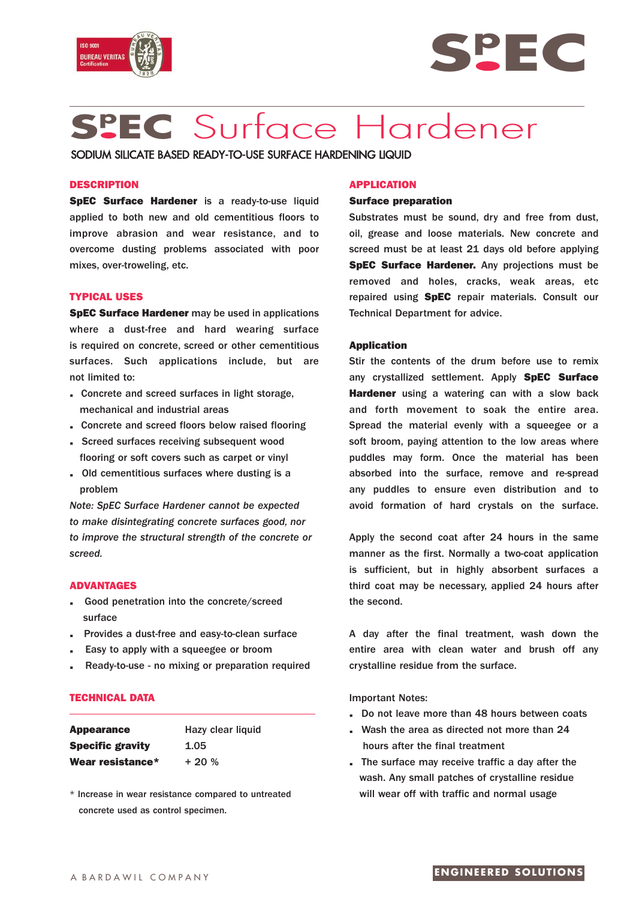



# **Sp EC** Surface Hardener

SODIUM SILICATE BASED READY-TO-USE SURFACE HARDENING LIQUID

### **DESCRIPTION**

**SpEC Surface Hardener** is a ready-to-use liquid applied to both new and old cementitious floors to improve abrasion and wear resistance, and to overcome dusting problems associated with poor mixes, over-troweling, etc.

# **TYPICAL USES**

**SpEC Surface Hardener** may be used in applications where a dust-free and hard wearing surface is required on concrete, screed or other cementitious surfaces. Such applications include, but are not limited to:

- **.** Concrete and screed surfaces in light storage, mechanical and industrial areas
- **.** Concrete and screed floors below raised flooring
- **.** Screed surfaces receiving subsequent wood flooring or soft covers such as carpet or vinyl
- **.** Old cementitious surfaces where dusting is a problem

*Note: SpEC Surface Hardener cannot be expected to make disintegrating concrete surfaces good, nor to improve the structural strength of the concrete or screed.*

#### **ADVANTAGES**

- **.** Good penetration into the concrete/screed surface
- **.** Provides a dust-free and easy-to-clean surface
- **.** Easy to apply with a squeegee or broom
- **.** Ready-to-use no mixing or preparation required

# **TECHNICAL DATA**

| <b>Appearance</b>       | Hazy clear liquid |
|-------------------------|-------------------|
| <b>Specific gravity</b> | 1.05              |
| Wear resistance*        | $+20%$            |

\* Increase in wear resistance compared to untreated concrete used as control specimen.

#### **APPLICATION**

#### **Surface preparation**

Substrates must be sound, dry and free from dust, oil, grease and loose materials. New concrete and screed must be at least 21 days old before applying **SpEC Surface Hardener.** Any projections must be removed and holes, cracks, weak areas, etc repaired using **SpEC** repair materials. Consult our Technical Department for advice.

#### **Application**

Stir the contents of the drum before use to remix any crystallized settlement. Apply **SpEC Surface Hardener** using a watering can with a slow back and forth movement to soak the entire area. Spread the material evenly with a squeegee or a soft broom, paying attention to the low areas where puddles may form. Once the material has been absorbed into the surface, remove and re-spread any puddles to ensure even distribution and to avoid formation of hard crystals on the surface.

Apply the second coat after 24 hours in the same manner as the first. Normally a two-coat application is sufficient, but in highly absorbent surfaces a third coat may be necessary, applied 24 hours after the second.

A day after the final treatment, wash down the entire area with clean water and brush off any crystalline residue from the surface.

Important Notes:

- **.** Do not leave more than 48 hours between coats
- **.** Wash the area as directed not more than 24 hours after the final treatment
- **.** The surface may receive traffic a day after the wash. Any small patches of crystalline residue will wear off with traffic and normal usage